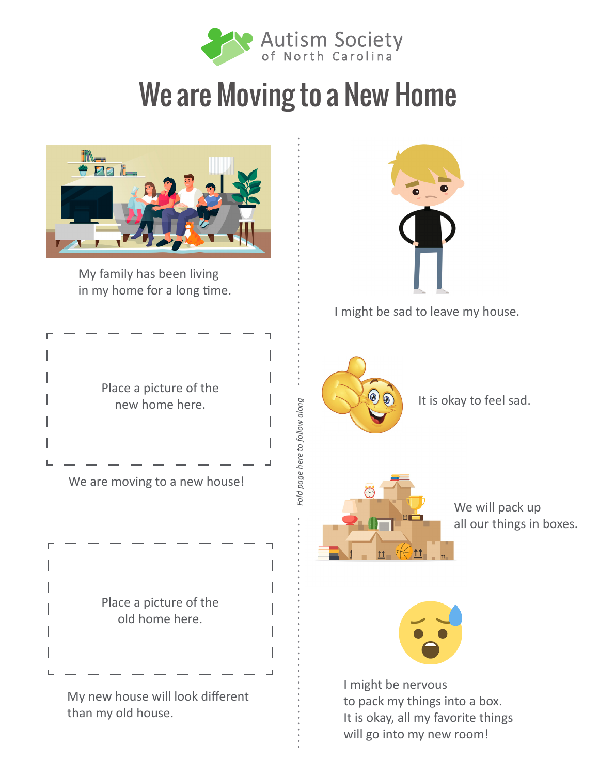

## We are Moving to a New Home



My family has been living in my home for a long time.



Place a picture of the old home here.

My new house will look different than my old house.



I might be sad to leave my house.



*Fold page here to follow along*

Fold page here to follow along

It is okay to feel sad.



We will pack up all our things in boxes.



I might be nervous to pack my things into a box. It is okay, all my favorite things will go into my new room!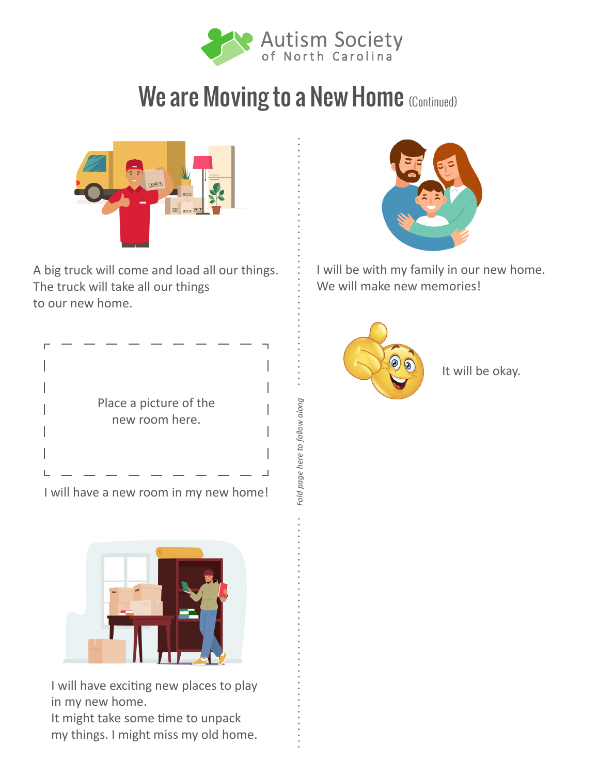

## We are Moving to a New Home (Continued)

*Fold page here to follow along*

Fold page here to follow along



A big truck will come and load all our things. The truck will take all our things to our new home.



I will have a new room in my new home!



I will have exciting new places to play in my new home.

It might take some time to unpack my things. I might miss my old home.



I will be with my family in our new home. We will make new memories!



It will be okay.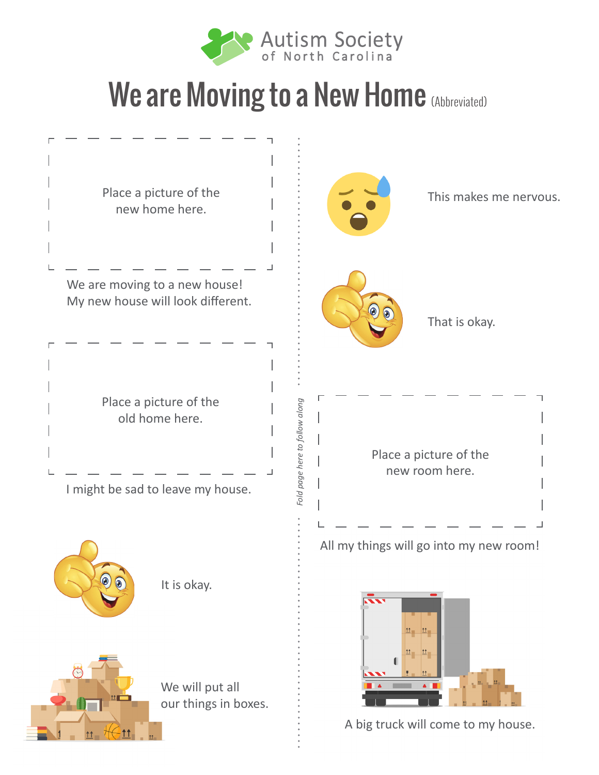

## We are Moving to a New Home (Abbreviated)